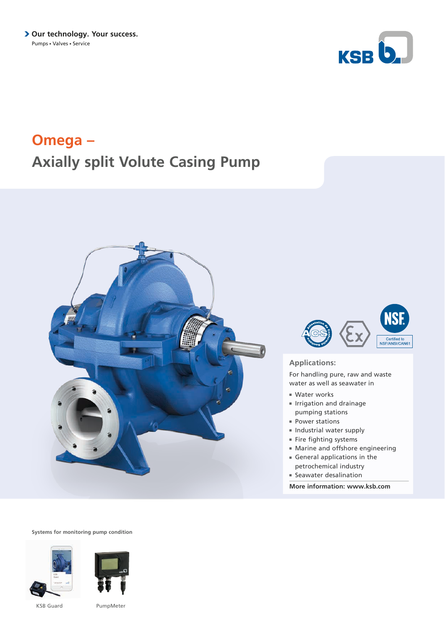

# **Omega – Axially split Volute Casing Pump**





### **Applications:**

For handling pure, raw and waste water as well as seawater in

- Water works
- Irrigation and drainage pumping stations
- Power stations
- Industrial water supply
- Fire fighting systems
- Marine and offshore engineering
- General applications in the petrochemical industry
- Seawater desalination

**More information: www.ksb.com**

**Systems for monitoring pump condition**





KSB Guard PumpMeter